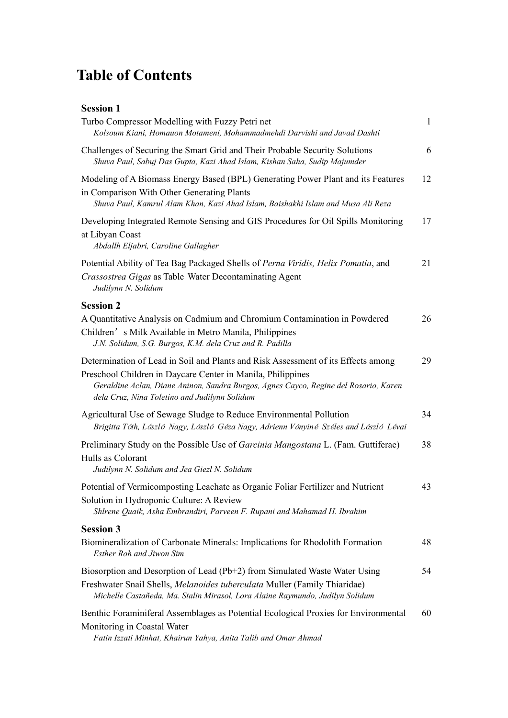## **Table of Contents**

| <b>Session 1</b> |  |
|------------------|--|
|                  |  |
|                  |  |

| Turbo Compressor Modelling with Fuzzy Petri net<br>Kolsoum Kiani, Homauon Motameni, Mohammadmehdi Darvishi and Javad Dashti                                                                                                                                                               | $\mathbf{1}$ |
|-------------------------------------------------------------------------------------------------------------------------------------------------------------------------------------------------------------------------------------------------------------------------------------------|--------------|
| Challenges of Securing the Smart Grid and Their Probable Security Solutions<br>Shuva Paul, Sabuj Das Gupta, Kazi Ahad Islam, Kishan Saha, Sudip Majumder                                                                                                                                  | 6            |
| Modeling of A Biomass Energy Based (BPL) Generating Power Plant and its Features<br>in Comparison With Other Generating Plants<br>Shuva Paul, Kamrul Alam Khan, Kazi Ahad Islam, Baishakhi Islam and Musa Ali Reza                                                                        | 12           |
| Developing Integrated Remote Sensing and GIS Procedures for Oil Spills Monitoring<br>at Libyan Coast<br>Abdallh Eljabri, Caroline Gallagher                                                                                                                                               | 17           |
| Potential Ability of Tea Bag Packaged Shells of Perna Viridis, Helix Pomatia, and<br>Crassostrea Gigas as Table Water Decontaminating Agent<br>Judilynn N. Solidum                                                                                                                        | 21           |
| <b>Session 2</b>                                                                                                                                                                                                                                                                          |              |
| A Quantitative Analysis on Cadmium and Chromium Contamination in Powdered<br>Children's Milk Available in Metro Manila, Philippines<br>J.N. Solidum, S.G. Burgos, K.M. dela Cruz and R. Padilla                                                                                           | 26           |
| Determination of Lead in Soil and Plants and Risk Assessment of its Effects among<br>Preschool Children in Daycare Center in Manila, Philippines<br>Geraldine Aclan, Diane Aninon, Sandra Burgos, Agnes Cayco, Regine del Rosario, Karen<br>dela Cruz, Nina Toletino and Judilynn Solidum | 29           |
| Agricultural Use of Sewage Sludge to Reduce Environmental Pollution<br>Brigitta Tóth, László Nagy, László Géza Nagy, Adrienn Ványiné Széles and László Lévai                                                                                                                              | 34           |
| Preliminary Study on the Possible Use of <i>Garcinia Mangostana</i> L. (Fam. Guttiferae)<br>Hulls as Colorant<br>Judilynn N. Solidum and Jea Giezl N. Solidum                                                                                                                             | 38           |
| Potential of Vermicomposting Leachate as Organic Foliar Fertilizer and Nutrient<br>Solution in Hydroponic Culture: A Review<br>Shlrene Quaik, Asha Embrandiri, Parveen F. Rupani and Mahamad H. Ibrahim                                                                                   | 43           |
| <b>Session 3</b>                                                                                                                                                                                                                                                                          |              |
| Biomineralization of Carbonate Minerals: Implications for Rhodolith Formation<br><b>Esther Roh and Jiwon Sim</b>                                                                                                                                                                          | 48           |
| Biosorption and Desorption of Lead (Pb+2) from Simulated Waste Water Using<br>Freshwater Snail Shells, Melanoides tuberculata Muller (Family Thiaridae)<br>Michelle Castañeda, Ma. Stalin Mirasol, Lora Alaine Raymundo, Judilyn Solidum                                                  | 54           |
| Benthic Foraminiferal Assemblages as Potential Ecological Proxies for Environmental<br>Monitoring in Coastal Water<br>Fatin Izzati Minhat, Khairun Yahya, Anita Talib and Omar Ahmad                                                                                                      | 60           |